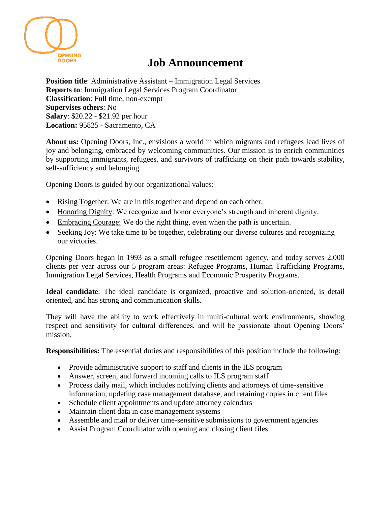

## **Job Announcement**

**Position title**: Administrative Assistant – Immigration Legal Services **Reports to**: Immigration Legal Services Program Coordinator **Classification**: Full time, non-exempt **Supervises others**: No **Salary**: \$20.22 - \$21.92 per hour **Location:** 95825 - Sacramento, CA

**About us:** Opening Doors, Inc., envisions a world in which migrants and refugees lead lives of joy and belonging, embraced by welcoming communities. Our mission is to enrich communities by supporting immigrants, refugees, and survivors of trafficking on their path towards stability, self-sufficiency and belonging.

Opening Doors is guided by our organizational values:

- Rising Together: We are in this together and depend on each other.
- Honoring Dignity: We recognize and honor everyone's strength and inherent dignity.
- Embracing Courage: We do the right thing, even when the path is uncertain.
- Seeking Joy: We take time to be together, celebrating our diverse cultures and recognizing our victories.

Opening Doors began in 1993 as a small refugee resettlement agency, and today serves 2,000 clients per year across our 5 program areas: Refugee Programs, Human Trafficking Programs, Immigration Legal Services, Health Programs and Economic Prosperity Programs.

**Ideal candidate**: The ideal candidate is organized, proactive and solution-oriented, is detail oriented, and has strong and communication skills.

They will have the ability to work effectively in multi-cultural work environments, showing respect and sensitivity for cultural differences, and will be passionate about Opening Doors' mission.

**Responsibilities:** The essential duties and responsibilities of this position include the following:

- Provide administrative support to staff and clients in the ILS program
- Answer, screen, and forward incoming calls to ILS program staff
- Process daily mail, which includes notifying clients and attorneys of time-sensitive information, updating case management database, and retaining copies in client files
- Schedule client appointments and update attorney calendars
- Maintain client data in case management systems
- Assemble and mail or deliver time-sensitive submissions to government agencies
- Assist Program Coordinator with opening and closing client files